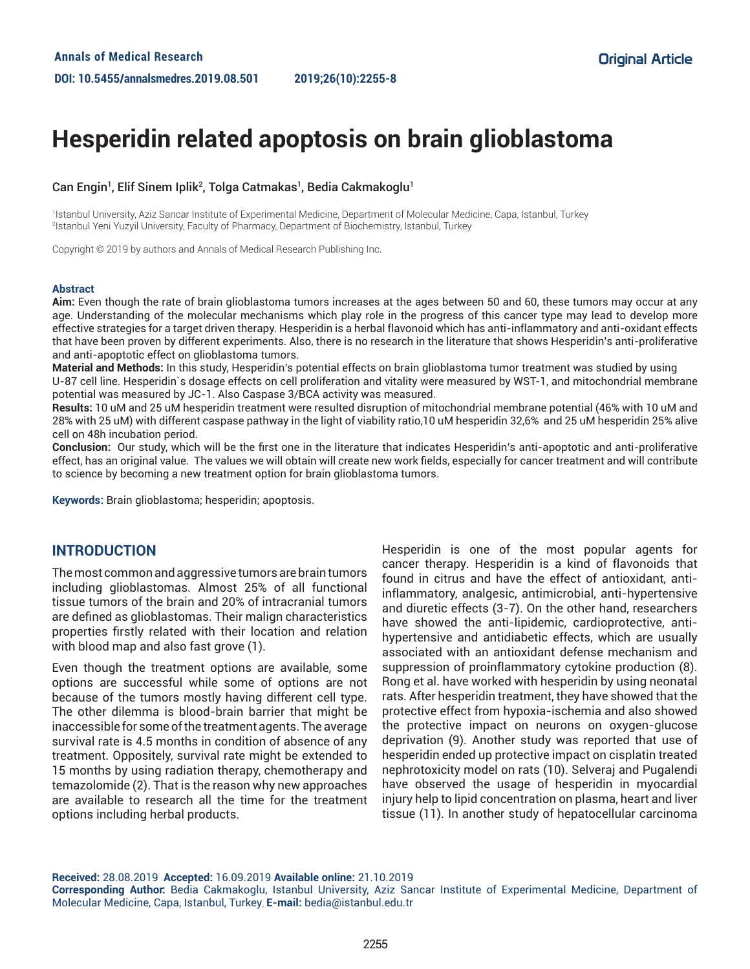# **Hesperidin related apoptosis on brain glioblastoma**

#### Can Engin<sup>1</sup>, Elif Sinem Iplik<sup>2</sup>, Tolga Catmakas<sup>1</sup>, Bedia Cakmakoglu<sup>1</sup>

1 Istanbul University, Aziz Sancar Institute of Experimental Medicine, Department of Molecular Medicine, Capa, Istanbul, Turkey 2 Istanbul Yeni Yuzyil University, Faculty of Pharmacy, Department of Biochemistry, Istanbul, Turkey

Copyright © 2019 by authors and Annals of Medical Research Publishing Inc.

#### **Abstract**

**Aim:** Even though the rate of brain glioblastoma tumors increases at the ages between 50 and 60, these tumors may occur at any age. Understanding of the molecular mechanisms which play role in the progress of this cancer type may lead to develop more effective strategies for a target driven therapy. Hesperidin is a herbal flavonoid which has anti-inflammatory and anti-oxidant effects that have been proven by different experiments. Also, there is no research in the literature that shows Hesperidin's anti-proliferative and anti-apoptotic effect on glioblastoma tumors.

**Material and Methods:** In this study, Hesperidin's potential effects on brain glioblastoma tumor treatment was studied by using

U-87 cell line. Hesperidin`s dosage effects on cell proliferation and vitality were measured by WST-1, and mitochondrial membrane potential was measured by JC-1. Also Caspase 3/BCA activity was measured.

**Results:** 10 uM and 25 uM hesperidin treatment were resulted disruption of mitochondrial membrane potential (46% with 10 uM and 28% with 25 uM) with different caspase pathway in the light of viability ratio,10 uM hesperidin 32,6% and 25 uM hesperidin 25% alive cell on 48h incubation period.

**Conclusion:** Our study, which will be the first one in the literature that indicates Hesperidin's anti-apoptotic and anti-proliferative effect, has an original value. The values we will obtain will create new work fields, especially for cancer treatment and will contribute to science by becoming a new treatment option for brain glioblastoma tumors.

**Keywords:** Brain glioblastoma; hesperidin; apoptosis.

### **INTRODUCTION**

The most common and aggressive tumors are brain tumors including glioblastomas. Almost 25% of all functional tissue tumors of the brain and 20% of intracranial tumors are defined as glioblastomas. Their malign characteristics properties firstly related with their location and relation with blood map and also fast grove (1).

Even though the treatment options are available, some options are successful while some of options are not because of the tumors mostly having different cell type. The other dilemma is blood-brain barrier that might be inaccessible for some of the treatment agents. The average survival rate is 4.5 months in condition of absence of any treatment. Oppositely, survival rate might be extended to 15 months by using radiation therapy, chemotherapy and temazolomide (2). That is the reason why new approaches are available to research all the time for the treatment options including herbal products.

Hesperidin is one of the most popular agents for cancer therapy. Hesperidin is a kind of flavonoids that found in citrus and have the effect of antioxidant, antiinflammatory, analgesic, antimicrobial, anti-hypertensive and diuretic effects (3-7). On the other hand, researchers have showed the anti-lipidemic, cardioprotective, antihypertensive and antidiabetic effects, which are usually associated with an antioxidant defense mechanism and suppression of proinflammatory cytokine production (8). Rong et al. have worked with hesperidin by using neonatal rats. After hesperidin treatment, they have showed that the protective effect from hypoxia-ischemia and also showed the protective impact on neurons on oxygen-glucose deprivation (9). Another study was reported that use of hesperidin ended up protective impact on cisplatin treated nephrotoxicity model on rats (10). Selveraj and Pugalendi have observed the usage of hesperidin in myocardial injury help to lipid concentration on plasma, heart and liver tissue (11). In another study of hepatocellular carcinoma

**Received:** 28.08.2019 **Accepted:** 16.09.2019 **Available online:** 21.10.2019 **Corresponding Author:** Bedia Cakmakoglu, Istanbul University, Aziz Sancar Institute of Experimental Medicine, Department of Molecular Medicine, Capa, Istanbul, Turkey, **E-mail:** bedia@istanbul.edu.tr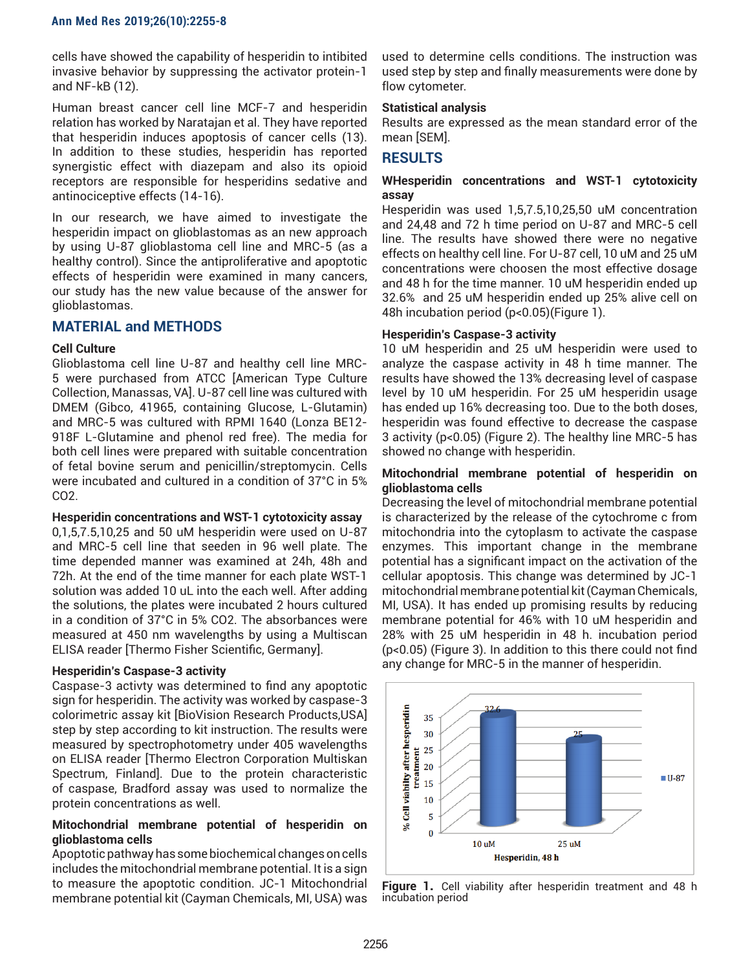cells have showed the capability of hesperidin to intibited invasive behavior by suppressing the activator protein-1 and NF-kB (12).

Human breast cancer cell line MCF-7 and hesperidin relation has worked by Naratajan et al. They have reported that hesperidin induces apoptosis of cancer cells (13). In addition to these studies, hesperidin has reported synergistic effect with diazepam and also its opioid receptors are responsible for hesperidins sedative and antinociceptive effects (14-16).

In our research, we have aimed to investigate the hesperidin impact on glioblastomas as an new approach by using U-87 glioblastoma cell line and MRC-5 (as a healthy control). Since the antiproliferative and apoptotic effects of hesperidin were examined in many cancers, our study has the new value because of the answer for glioblastomas.

## **MATERIAL and METHODS**

#### **Cell Culture**

Glioblastoma cell line U-87 and healthy cell line MRC-5 were purchased from ATCC [American Type Culture Collection, Manassas, VA]. U-87 cell line was cultured with DMEM (Gibco, 41965, containing Glucose, L-Glutamin) and MRC-5 was cultured with RPMI 1640 (Lonza BE12- 918F L-Glutamine and phenol red free). The media for both cell lines were prepared with suitable concentration of fetal bovine serum and penicillin/streptomycin. Cells were incubated and cultured in a condition of 37°C in 5% CO2.

#### **Hesperidin concentrations and WST-1 cytotoxicity assay**

0,1,5,7.5,10,25 and 50 uM hesperidin were used on U-87 and MRC-5 cell line that seeden in 96 well plate. The time depended manner was examined at 24h, 48h and 72h. At the end of the time manner for each plate WST-1 solution was added 10 uL into the each well. After adding the solutions, the plates were incubated 2 hours cultured in a condition of 37°C in 5% CO2. The absorbances were measured at 450 nm wavelengths by using a Multiscan ELISA reader [Thermo Fisher Scientific, Germany].

#### **Hesperidin's Caspase-3 activity**

Caspase-3 activty was determined to find any apoptotic sign for hesperidin. The activity was worked by caspase-3 colorimetric assay kit [BioVision Research Products,USA] step by step according to kit instruction. The results were measured by spectrophotometry under 405 wavelengths on ELISA reader [Thermo Electron Corporation Multiskan Spectrum, Finland]. Due to the protein characteristic of caspase, Bradford assay was used to normalize the protein concentrations as well.

#### **Mitochondrial membrane potential of hesperidin on glioblastoma cells**

Apoptotic pathway has some biochemical changes on cells includes the mitochondrial membrane potential. It is a sign to measure the apoptotic condition. JC-1 Mitochondrial membrane potential kit (Cayman Chemicals, MI, USA) was

used to determine cells conditions. The instruction was used step by step and finally measurements were done by flow cytometer.

#### **Statistical analysis**

Results are expressed as the mean standard error of the mean [SEM].

## **RESULTS**

#### **WHesperidin concentrations and WST-1 cytotoxicity assay**

Hesperidin was used 1,5,7.5,10,25,50 uM concentration and 24,48 and 72 h time period on U-87 and MRC-5 cell line. The results have showed there were no negative effects on healthy cell line. For U-87 cell, 10 uM and 25 uM concentrations were choosen the most effective dosage and 48 h for the time manner. 10 uM hesperidin ended up 32.6% and 25 uM hesperidin ended up 25% alive cell on 48h incubation period (p<0.05)(Figure 1).

#### **Hesperidin's Caspase-3 activity**

10 uM hesperidin and 25 uM hesperidin were used to analyze the caspase activity in 48 h time manner. The results have showed the 13% decreasing level of caspase level by 10 uM hesperidin. For 25 uM hesperidin usage has ended up 16% decreasing too. Due to the both doses, hesperidin was found effective to decrease the caspase 3 activity (p<0.05) (Figure 2). The healthy line MRC-5 has showed no change with hesperidin.

#### **Mitochondrial membrane potential of hesperidin on glioblastoma cells**

Decreasing the level of mitochondrial membrane potential is characterized by the release of the cytochrome c from mitochondria into the cytoplasm to activate the caspase enzymes. This important change in the membrane potential has a significant impact on the activation of the cellular apoptosis. This change was determined by JC-1 mitochondrial membrane potential kit (Cayman Chemicals, MI, USA). It has ended up promising results by reducing membrane potential for 46% with 10 uM hesperidin and 28% with 25 uM hesperidin in 48 h. incubation period (p<0.05) (Figure 3). In addition to this there could not find any change for MRC-5 in the manner of hesperidin.



**Figure 1.** Cell viability after hesperidin treatment and 48 h incubation period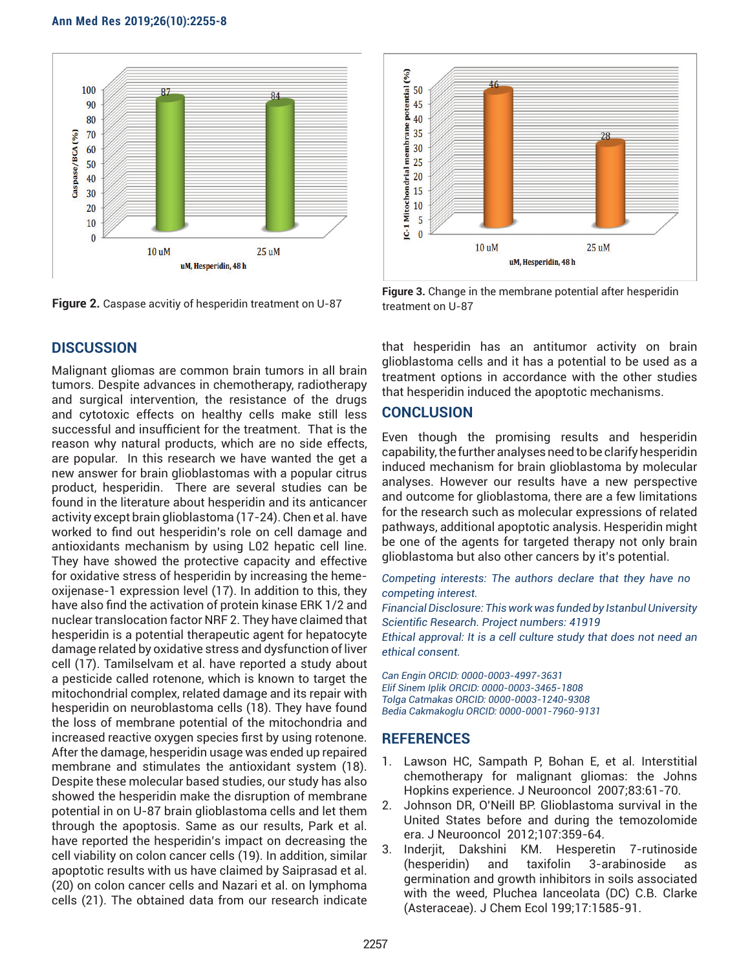#### **Ann Med Res 2019;26(10):2255-8**



**Figure 2.** Caspase acvitiy of hesperidin treatment on U-87

## **DISCUSSION**

Malignant gliomas are common brain tumors in all brain tumors. Despite advances in chemotherapy, radiotherapy and surgical intervention, the resistance of the drugs and cytotoxic effects on healthy cells make still less successful and insufficient for the treatment. That is the reason why natural products, which are no side effects, are popular. In this research we have wanted the get a new answer for brain glioblastomas with a popular citrus product, hesperidin. There are several studies can be found in the literature about hesperidin and its anticancer activity except brain glioblastoma (17-24). Chen et al. have worked to find out hesperidin's role on cell damage and antioxidants mechanism by using L02 hepatic cell line. They have showed the protective capacity and effective for oxidative stress of hesperidin by increasing the hemeoxijenase-1 expression level (17). In addition to this, they have also find the activation of protein kinase ERK 1/2 and nuclear translocation factor NRF 2. They have claimed that hesperidin is a potential therapeutic agent for hepatocyte damage related by oxidative stress and dysfunction of liver cell (17). Tamilselvam et al. have reported a study about a pesticide called rotenone, which is known to target the mitochondrial complex, related damage and its repair with hesperidin on neuroblastoma cells (18). They have found the loss of membrane potential of the mitochondria and increased reactive oxygen species first by using rotenone. After the damage, hesperidin usage was ended up repaired membrane and stimulates the antioxidant system (18). Despite these molecular based studies, our study has also showed the hesperidin make the disruption of membrane potential in on U-87 brain glioblastoma cells and let them through the apoptosis. Same as our results, Park et al. have reported the hesperidin's impact on decreasing the cell viability on colon cancer cells (19). In addition, similar apoptotic results with us have claimed by Saiprasad et al. (20) on colon cancer cells and Nazari et al. on lymphoma cells (21). The obtained data from our research indicate



**Figure 3.** Change in the membrane potential after hesperidin treatment on U-87

that hesperidin has an antitumor activity on brain glioblastoma cells and it has a potential to be used as a treatment options in accordance with the other studies that hesperidin induced the apoptotic mechanisms.

### **CONCLUSION**

Even though the promising results and hesperidin capability, the further analyses need to be clarify hesperidin induced mechanism for brain glioblastoma by molecular analyses. However our results have a new perspective and outcome for glioblastoma, there are a few limitations for the research such as molecular expressions of related pathways, additional apoptotic analysis. Hesperidin might be one of the agents for targeted therapy not only brain glioblastoma but also other cancers by it's potential.

*Competing interests: The authors declare that they have no competing interest.* 

*Financial Disclosure: This work was funded by Istanbul University Scientific Research. Project numbers: 41919*

*Ethical approval: It is a cell culture study that does not need an ethical consent.*

*Can Engin ORCID: 0000-0003-4997-3631 Elif Sinem Iplik ORCID: 0000-0003-3465-1808 Tolga Catmakas ORCID: 0000-0003-1240-9308 Bedia Cakmakoglu ORCID: 0000-0001-7960-9131*

#### **REFERENCES**

- 1. Lawson HC, Sampath P, Bohan E, et al. Interstitial chemotherapy for malignant gliomas: the Johns Hopkins experience. J Neurooncol 2007;83:61-70.
- 2. Johnson DR, O'Neill BP. Glioblastoma survival in the United States before and during the temozolomide era. J Neurooncol 2012;107:359-64.
- 3. Inderjit, Dakshini KM. Hesperetin 7-rutinoside (hesperidin) and taxifolin 3-arabinoside as germination and growth inhibitors in soils associated with the weed, Pluchea lanceolata (DC) C.B. Clarke (Asteraceae). J Chem Ecol 199;17:1585-91.